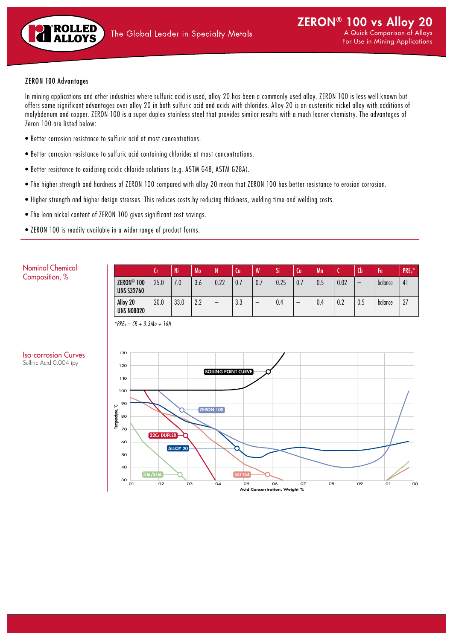

### ZERON 100 Advantages

In mining applications and other industries where sulfuric acid is used, alloy 20 has been a commonly used alloy. ZERON 100 is less well known but offers some significant advantages over alloy 20 in both sulfuric acid and acids with chlorides. Alloy 20 is an austenitic nickel alloy with additions of molybdenum and copper. ZERON 100 is a super duplex stainless steel that provides similar results with a much leaner chemistry. The advantages of Zeron 100 are listed below:

- Better corrosion resistance to sulfuric acid at most concentrations.
- Better corrosion resistance to sulfuric acid containing chlorides at most concentrations.
- Better resistance to oxidizing acidic chloride solutions (e.g. ASTM G48, ASTM G28A).
- The higher strength and hardness of ZERON 100 compared with alloy 20 mean that ZERON 100 has better resistance to erosion corrosion.
- Higher strength and higher design stresses. This reduces costs by reducing thickness, welding time and welding costs.
- The lean nickel content of ZERON 100 gives significant cost savings.
- ZERON 100 is readily available in a wider range of product forms.

|                                             | ΙU   | 'Ni  | Mo  | N    | ιω  | W   | Si   | Cu  | Mn  |      | Cb  | ŀе      | PRE <sub>N</sub> * |
|---------------------------------------------|------|------|-----|------|-----|-----|------|-----|-----|------|-----|---------|--------------------|
| ZERON <sup>®</sup> 100<br><b>UNS S32760</b> | 25.0 | 7.0  | 3.6 | 0.22 | 0.7 | 0.7 | 0.25 | 0.7 | 0.5 | 0.02 | -   | balance | 41                 |
| Alloy 20<br><b>UNS N08020</b>               | 20.0 | 33.0 | 2.2 | -    | 3.3 | -   | 0.4  | -   | 0.4 | 0.2  | 0.5 | balance | 27                 |



## *\*PREN = CR + 3.3Mo + 16N*

Iso-corrosion Curves Sulfiric Acid 0.004 ipy

Nominal Chemical Composition, %